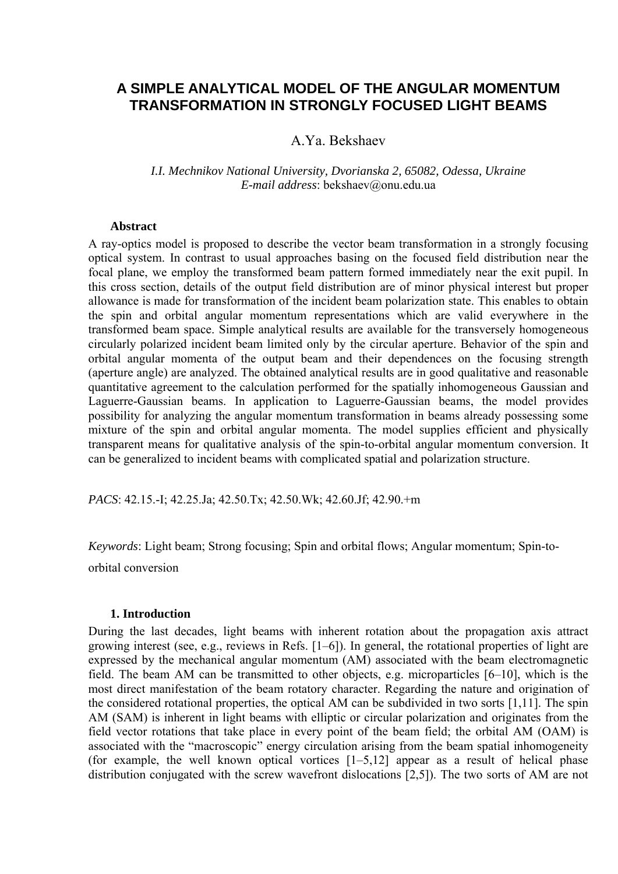# **A SIMPLE ANALYTICAL MODEL OF THE ANGULAR MOMENTUM TRANSFORMATION IN STRONGLY FOCUSED LIGHT BEAMS**

# A.Ya. Bekshaev

## *I.I. Mechnikov National University, Dvorianska 2, 65082, Odessa, Ukraine E-mail address*: bekshaev@onu.edu.ua

### **Abstract**

A ray-optics model is proposed to describe the vector beam transformation in a strongly focusing optical system. In contrast to usual approaches basing on the focused field distribution near the focal plane, we employ the transformed beam pattern formed immediately near the exit pupil. In this cross section, details of the output field distribution are of minor physical interest but proper allowance is made for transformation of the incident beam polarization state. This enables to obtain the spin and orbital angular momentum representations which are valid everywhere in the transformed beam space. Simple analytical results are available for the transversely homogeneous circularly polarized incident beam limited only by the circular aperture. Behavior of the spin and orbital angular momenta of the output beam and their dependences on the focusing strength (aperture angle) are analyzed. The obtained analytical results are in good qualitative and reasonable quantitative agreement to the calculation performed for the spatially inhomogeneous Gaussian and Laguerre-Gaussian beams. In application to Laguerre-Gaussian beams, the model provides possibility for analyzing the angular momentum transformation in beams already possessing some mixture of the spin and orbital angular momenta. The model supplies efficient and physically transparent means for qualitative analysis of the spin-to-orbital angular momentum conversion. It can be generalized to incident beams with complicated spatial and polarization structure.

*PACS*: 42.15.-I; 42.25.Ja; 42.50.Tx; 42.50.Wk; 42.60.Jf; 42.90.+m

*Keywords*: Light beam; Strong focusing; Spin and orbital flows; Angular momentum; Spin-to-

orbital conversion

#### **1. Introduction**

During the last decades, light beams with inherent rotation about the propagation axis attract growing interest (see, e.g., reviews in Refs. [1–6]). In general, the rotational properties of light are expressed by the mechanical angular momentum (AM) associated with the beam electromagnetic field. The beam AM can be transmitted to other objects, e.g. microparticles [6–10], which is the most direct manifestation of the beam rotatory character. Regarding the nature and origination of the considered rotational properties, the optical AM can be subdivided in two sorts [1,11]. The spin AM (SAM) is inherent in light beams with elliptic or circular polarization and originates from the field vector rotations that take place in every point of the beam field; the orbital AM (OAM) is associated with the "macroscopic" energy circulation arising from the beam spatial inhomogeneity (for example, the well known optical vortices  $\begin{bmatrix} 1-5,12 \end{bmatrix}$  appear as a result of helical phase distribution conjugated with the screw wavefront dislocations [2,5]). The two sorts of AM are not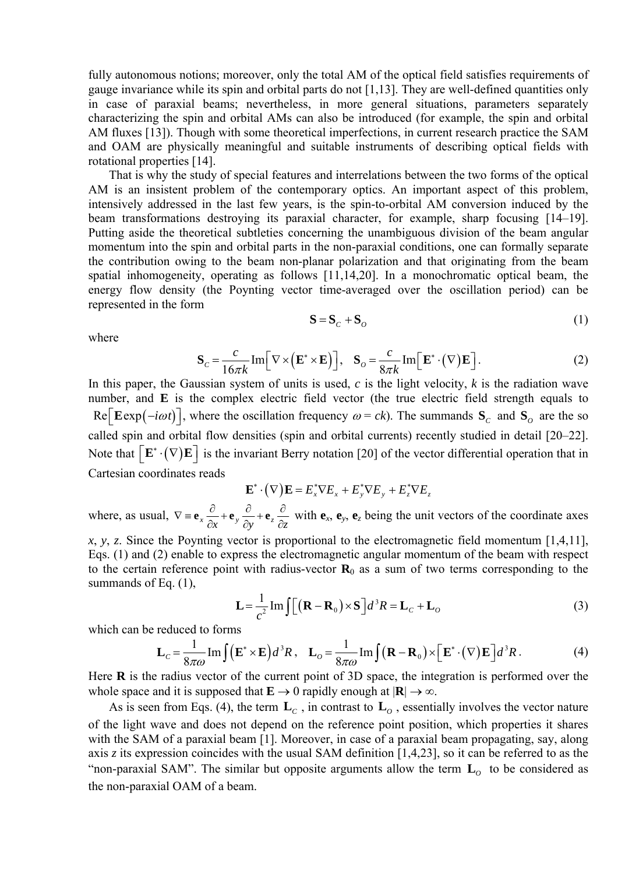fully autonomous notions; moreover, only the total AM of the optical field satisfies requirements of gauge invariance while its spin and orbital parts do not [1,13]. They are well-defined quantities only in case of paraxial beams; nevertheless, in more general situations, parameters separately characterizing the spin and orbital AMs can also be introduced (for example, the spin and orbital AM fluxes [13]). Though with some theoretical imperfections, in current research practice the SAM and OAM are physically meaningful and suitable instruments of describing optical fields with rotational properties [14].

That is why the study of special features and interrelations between the two forms of the optical AM is an insistent problem of the contemporary optics. An important aspect of this problem, intensively addressed in the last few years, is the spin-to-orbital AM conversion induced by the beam transformations destroying its paraxial character, for example, sharp focusing [14–19]. Putting aside the theoretical subtleties concerning the unambiguous division of the beam angular momentum into the spin and orbital parts in the non-paraxial conditions, one can formally separate the contribution owing to the beam non-planar polarization and that originating from the beam spatial inhomogeneity, operating as follows [11,14,20]. In a monochromatic optical beam, the energy flow density (the Poynting vector time-averaged over the oscillation period) can be represented in the form

$$
\mathbf{S} = \mathbf{S}_c + \mathbf{S}_o \tag{1}
$$

where

$$
\mathbf{S}_c = \frac{c}{16\pi k} \operatorname{Im} \left[ \nabla \times (\mathbf{E}^* \times \mathbf{E}) \right], \quad \mathbf{S}_o = \frac{c}{8\pi k} \operatorname{Im} \left[ \mathbf{E}^* \cdot (\nabla) \mathbf{E} \right]. \tag{2}
$$

 $\text{Re}$   $\left[\text{Eexp}(-i\omega t)\right]$ , where the oscillation frequency  $\omega = ck$ ). The summands  $\mathbf{S}_c$  and  $\mathbf{S}_o$  are the so In this paper, the Gaussian system of units is used, *c* is the light velocity, *k* is the radiation wave number, and **E** is the complex electric field vector (the true electric field strength equals to Note that  $\left[\mathbf{E}^*\cdot(\nabla)\mathbf{E}\right]$  is the invariant Berry notation [20] of the vector differential operation that in called spin and orbital flow densities (spin and orbital currents) recently studied in detail [20–22]. Cartesian coordinates reads

$$
\mathbf{E}^*\cdot\big(\nabla\big)\mathbf{E}=E^*_\mathrm{x}\nabla E_\mathrm{x}+E^*_\mathrm{y}\nabla E_\mathrm{y}+E^*_\mathrm{z}\nabla E_\mathrm{z}
$$

where, as usual,  $\nabla = \mathbf{e}_x \frac{\partial}{\partial x} + \mathbf{e}_y \frac{\partial}{\partial y} + \mathbf{e}_z \frac{\partial}{\partial z}$  $\partial x$   $\partial x$  $\mathbf{e}_x \frac{\partial}{\partial x} + \mathbf{e}_y \frac{\partial}{\partial y} + \mathbf{e}_z \frac{\partial}{\partial z}$  $\frac{\partial}{\partial z}$  with **e**<sub>*x*</sub>, **e**<sub>*z*</sub> being the unit vectors of the coordinate axes

*x*, *y*, *z*. Since the Poynting vector is proportional to the electromagnetic field momentum [1,4,11], Eqs. (1) and (2) enable to express the electromagnetic angular momentum of the beam with respect to the certain reference point with radius-vector  $\mathbf{R}_0$  as a sum of two terms corresponding to the summands of Eq. (1),

$$
\mathbf{L} = \frac{1}{c^2} \operatorname{Im} \int \left[ (\mathbf{R} - \mathbf{R}_0) \times \mathbf{S} \right] d^3 R = \mathbf{L}_c + \mathbf{L}_o \tag{3}
$$

which can be reduced to forms

$$
\mathbf{L}_c = \frac{1}{8\pi\omega} \mathrm{Im} \int (\mathbf{E}^* \times \mathbf{E}) d^3 R \, , \quad \mathbf{L}_o = \frac{1}{8\pi\omega} \mathrm{Im} \int (\mathbf{R} - \mathbf{R}_0) \times [\mathbf{E}^* \cdot (\nabla) \mathbf{E}] d^3 R \, . \tag{4}
$$

Here **R** is the radius vector of the current point of 3D space, the integration is performed over the whole space and it is supposed that  $\mathbf{E} \to 0$  rapidly enough at  $|\mathbf{R}| \to \infty$ .

As is seen from Eqs. (4), the term  $\mathbf{L}_c$ , in contrast to  $\mathbf{L}_o$ , essentially involves the vector nature of the light wave and does not depend on the reference point position, which properties it shares with the SAM of a paraxial beam [1]. Moreover, in case of a paraxial beam propagating, say, along axis *z* its expression coincides with the usual SAM definition [1,4,23], so it can be referred to as the "non-paraxial SAM". The similar but opposite arguments allow the term  $\mathbf{L}_o$  to be considered as the non-paraxial OAM of a beam.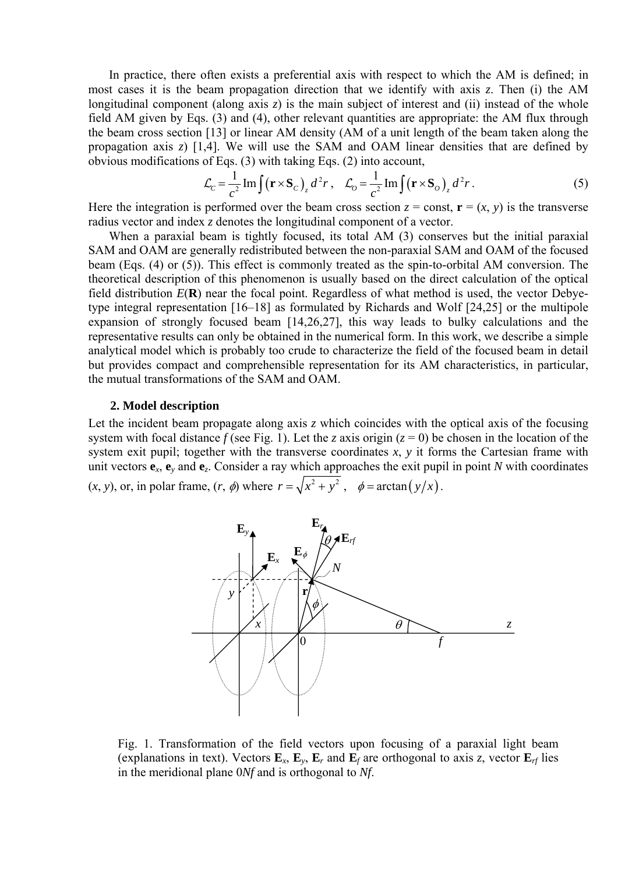In practice, there often exists a preferential axis with respect to which the AM is defined; in most cases it is the beam propagation direction that we identify with axis *z*. Then (i) the AM longitudinal component (along axis *z*) is the main subject of interest and (ii) instead of the whole field AM given by Eqs. (3) and (4), other relevant quantities are appropriate: the AM flux through the beam cross section [13] or linear AM density (AM of a unit length of the beam taken along the propagation axis *z*) [1,4]. We will use the SAM and OAM linear densities that are defined by obvious modifications of Eqs. (3) with taking Eqs. (2) into account,

$$
\mathcal{L}_c = \frac{1}{c^2} \operatorname{Im} \int (\mathbf{r} \times \mathbf{S}_c)_z d^2 r \,, \quad \mathcal{L}_o = \frac{1}{c^2} \operatorname{Im} \int (\mathbf{r} \times \mathbf{S}_o)_z d^2 r \,. \tag{5}
$$

Here the integration is performed over the beam cross section  $z = const$ ,  $\mathbf{r} = (x, y)$  is the transverse radius vector and index *z* denotes the longitudinal component of a vector.

When a paraxial beam is tightly focused, its total AM (3) conserves but the initial paraxial SAM and OAM are generally redistributed between the non-paraxial SAM and OAM of the focused beam (Eqs. (4) or (5)). This effect is commonly treated as the spin-to-orbital AM conversion. The theoretical description of this phenomenon is usually based on the direct calculation of the optical field distribution *E*(**R**) near the focal point. Regardless of what method is used, the vector Debyetype integral representation [16–18] as formulated by Richards and Wolf [24,25] or the multipole expansion of strongly focused beam [14,26,27], this way leads to bulky calculations and the representative results can only be obtained in the numerical form. In this work, we describe a simple analytical model which is probably too crude to characterize the field of the focused beam in detail but provides compact and comprehensible representation for its AM characteristics, in particular, the mutual transformations of the SAM and OAM.

# **2. Model description**

Let the incident beam propagate along axis *z* which coincides with the optical axis of the focusing system with focal distance  $f$  (see Fig. 1). Let the *z* axis origin ( $z = 0$ ) be chosen in the location of the system exit pupil; together with the transverse coordinates  $x$ ,  $y$  it forms the Cartesian frame with unit vectors  $e_x$ ,  $e_y$  and  $e_z$ . Consider a ray which approaches the exit pupil in point *N* with coordinates  $(x, y)$ , or, in polar frame,  $(r, \phi)$  where  $r = \sqrt{x^2 + y^2}$ ,  $\phi = \arctan(y/x)$ .



Fig. 1. Transformation of the field vectors upon focusing of a paraxial light beam (explanations in text). Vectors  $\mathbf{E}_x$ ,  $\mathbf{E}_y$ ,  $\mathbf{E}_r$  and  $\mathbf{E}_f$  are orthogonal to axis *z*, vector  $\mathbf{E}_{rf}$  lies in the meridional plane 0*Nf* and is orthogonal to *Nf*.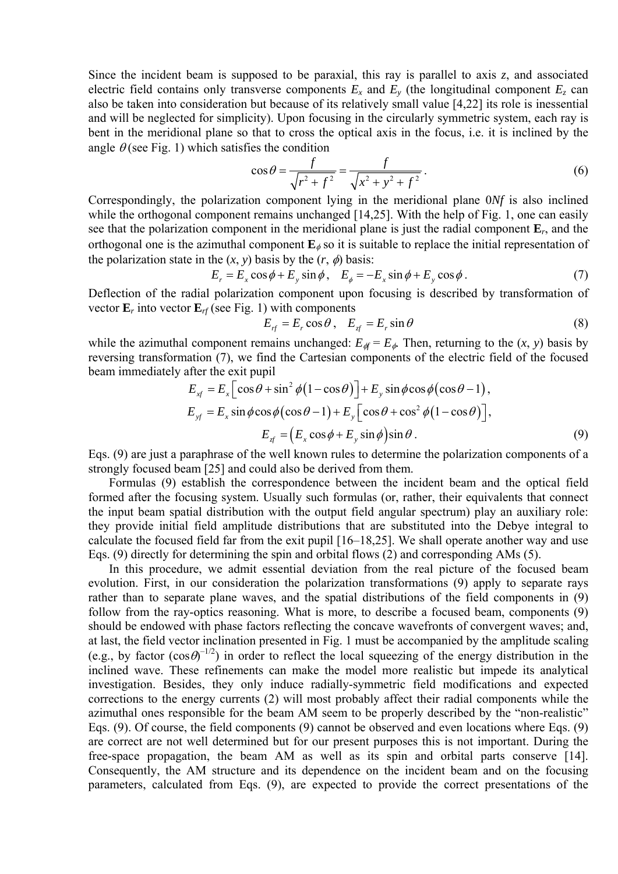Since the incident beam is supposed to be paraxial, this ray is parallel to axis *z*, and associated electric field contains only transverse components  $E_x$  and  $E_y$  (the longitudinal component  $E_z$  can also be taken into consideration but because of its relatively small value [4,22] its role is inessential and will be neglected for simplicity). Upon focusing in the circularly symmetric system, each ray is bent in the meridional plane so that to cross the optical axis in the focus, i.e. it is inclined by the angle  $\theta$  (see Fig. 1) which satisfies the condition

$$
\cos \theta = \frac{f}{\sqrt{r^2 + f^2}} = \frac{f}{\sqrt{x^2 + y^2 + f^2}}.
$$
\n(6)

Correspondingly, the polarization component lying in the meridional plane 0*Nf* is also inclined while the orthogonal component remains unchanged [14,25]. With the help of Fig. 1, one can easily see that the polarization component in the meridional plane is just the radial component **E***r*, and the orthogonal one is the azimuthal component  $\mathbf{E}_{\phi}$  so it is suitable to replace the initial representation of the polarization state in the  $(x, y)$  basis by the  $(r, \phi)$  basis:

$$
E_r = E_x \cos \phi + E_y \sin \phi, \quad E_\phi = -E_x \sin \phi + E_y \cos \phi. \tag{7}
$$

Deflection of the radial polarization component upon focusing is described by transformation of vector  $\mathbf{E}_r$  into vector  $\mathbf{E}_{rf}$  (see Fig. 1) with components

$$
E_{rf} = E_r \cos \theta, \quad E_{zf} = E_r \sin \theta \tag{8}
$$

while the azimuthal component remains unchanged:  $E_{\phi} = E_{\phi}$ . Then, returning to the  $(x, y)$  basis by reversing transformation (7), we find the Cartesian components of the electric field of the focused beam immediately after the exit pupil

$$
E_{xf} = E_x \left[ \cos \theta + \sin^2 \phi \left( 1 - \cos \theta \right) \right] + E_y \sin \phi \cos \phi \left( \cos \theta - 1 \right),
$$
  
\n
$$
E_{yf} = E_x \sin \phi \cos \phi \left( \cos \theta - 1 \right) + E_y \left[ \cos \theta + \cos^2 \phi \left( 1 - \cos \theta \right) \right],
$$
  
\n
$$
E_{xf} = \left( E_x \cos \phi + E_y \sin \phi \right) \sin \theta.
$$
 (9)

Eqs. (9) are just a paraphrase of the well known rules to determine the polarization components of a strongly focused beam [25] and could also be derived from them.

Formulas (9) establish the correspondence between the incident beam and the optical field formed after the focusing system. Usually such formulas (or, rather, their equivalents that connect the input beam spatial distribution with the output field angular spectrum) play an auxiliary role: they provide initial field amplitude distributions that are substituted into the Debye integral to calculate the focused field far from the exit pupil [16–18,25]. We shall operate another way and use Eqs. (9) directly for determining the spin and orbital flows (2) and corresponding AMs (5).

In this procedure, we admit essential deviation from the real picture of the focused beam evolution. First, in our consideration the polarization transformations (9) apply to separate rays rather than to separate plane waves, and the spatial distributions of the field components in (9) follow from the ray-optics reasoning. What is more, to describe a focused beam, components (9) should be endowed with phase factors reflecting the concave wavefronts of convergent waves; and, at last, the field vector inclination presented in Fig. 1 must be accompanied by the amplitude scaling (e.g., by factor  $(cos \theta)^{-1/2}$ ) in order to reflect the local squeezing of the energy distribution in the inclined wave. These refinements can make the model more realistic but impede its analytical investigation. Besides, they only induce radially-symmetric field modifications and expected corrections to the energy currents (2) will most probably affect their radial components while the azimuthal ones responsible for the beam AM seem to be properly described by the "non-realistic" Eqs. (9). Of course, the field components (9) cannot be observed and even locations where Eqs. (9) are correct are not well determined but for our present purposes this is not important. During the free-space propagation, the beam AM as well as its spin and orbital parts conserve [14]. Consequently, the AM structure and its dependence on the incident beam and on the focusing parameters, calculated from Eqs. (9), are expected to provide the correct presentations of the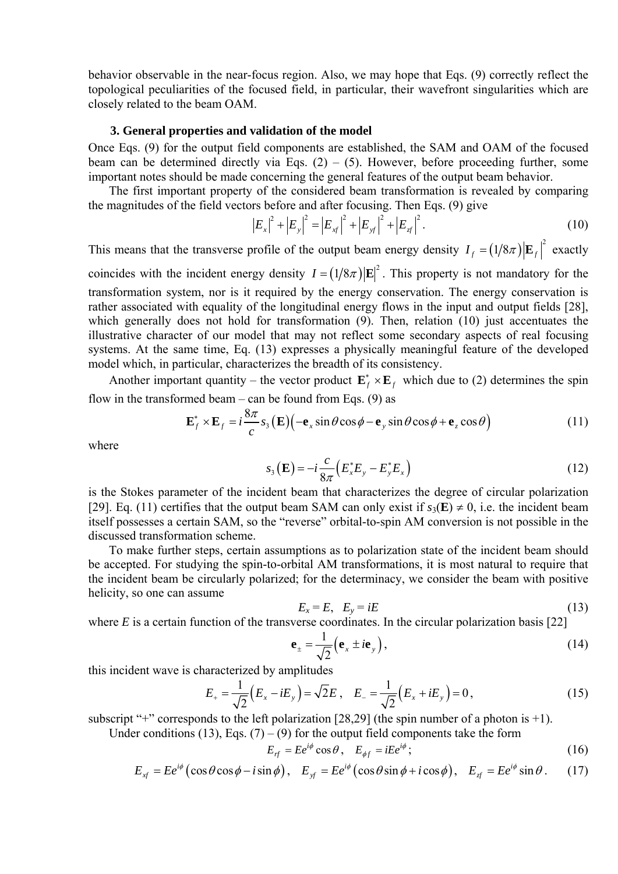behavior observable in the near-focus region. Also, we may hope that Eqs. (9) correctly reflect the topological peculiarities of the focused field, in particular, their wavefront singularities which are closely related to the beam OAM.

## **3. General properties and validation of the model**

Once Eqs. (9) for the output field components are established, the SAM and OAM of the focused beam can be determined directly via Eqs.  $(2) - (5)$ . However, before proceeding further, some important notes should be made concerning the general features of the output beam behavior.

The first important property of the considered beam transformation is revealed by comparing the magnitudes of the field vectors before and after focusing. Then Eqs. (9) give

$$
\left|E_x\right|^2 + \left|E_y\right|^2 = \left|E_{xf}\right|^2 + \left|E_{xf}\right|^2 + \left|E_{f}\right|^2. \tag{10}
$$

This means that the transverse profile of the output beam energy density  $I_f = (1/8\pi) |\mathbf{E}_f|^2$  exactly

coincides with the incident energy density  $I = (1/8\pi) |\mathbf{E}|^2$ . This property is not mandatory for the transformation system, nor is it required by the energy conservation. The energy conservation is rather associated with equality of the longitudinal energy flows in the input and output fields [28], which generally does not hold for transformation (9). Then, relation (10) just accentuates the illustrative character of our model that may not reflect some secondary aspects of real focusing systems. At the same time, Eq. (13) expresses a physically meaningful feature of the developed model which, in particular, characterizes the breadth of its consistency.

Another important quantity – the vector product  $\mathbf{E}_f^* \times \mathbf{E}_f$  which due to (2) determines the spin flow in the transformed beam – can be found from Eqs.  $(9)$  as

$$
\mathbf{E}_f^* \times \mathbf{E}_f = i \frac{8\pi}{c} s_3(\mathbf{E}) \Big( -\mathbf{e}_x \sin \theta \cos \phi - \mathbf{e}_y \sin \theta \cos \phi + \mathbf{e}_z \cos \theta \Big) \tag{11}
$$

where

$$
s_3(E) = -i\frac{c}{8\pi} \left( E_x^* E_y - E_y^* E_x \right)
$$
 (12)

is the Stokes parameter of the incident beam that characterizes the degree of circular polarization [29]. Eq. (11) certifies that the output beam SAM can only exist if  $s_3(E) \neq 0$ , i.e. the incident beam itself possesses a certain SAM, so the "reverse" orbital-to-spin AM conversion is not possible in the discussed transformation scheme.

To make further steps, certain assumptions as to polarization state of the incident beam should be accepted. For studying the spin-to-orbital AM transformations, it is most natural to require that the incident beam be circularly polarized; for the determinacy, we consider the beam with positive helicity, so one can assume

$$
E_x = E, \quad E_y = iE \tag{13}
$$

where  $E$  is a certain function of the transverse coordinates. In the circular polarization basis [22]

$$
\mathbf{e}_{\pm} = \frac{1}{\sqrt{2}} \left( \mathbf{e}_{x} \pm i \mathbf{e}_{y} \right), \tag{14}
$$

this incident wave is characterized by amplitudes

$$
E_{+} = \frac{1}{\sqrt{2}} (E_{x} - iE_{y}) = \sqrt{2}E, \quad E_{-} = \frac{1}{\sqrt{2}} (E_{x} + iE_{y}) = 0, \tag{15}
$$

subscript "+" corresponds to the left polarization  $[28,29]$  (the spin number of a photon is +1).

Under conditions (13), Eqs. (7) – (9) for the output field components take the form

$$
E_{rf} = E e^{i\phi} \cos \theta, \quad E_{\phi f} = iE e^{i\phi}; \tag{16}
$$

$$
E_{xf} = E e^{i\phi} \left( \cos \theta \cos \phi - i \sin \phi \right), \quad E_{xf} = E e^{i\phi} \left( \cos \theta \sin \phi + i \cos \phi \right), \quad E_{xf} = E e^{i\phi} \sin \theta \,. \tag{17}
$$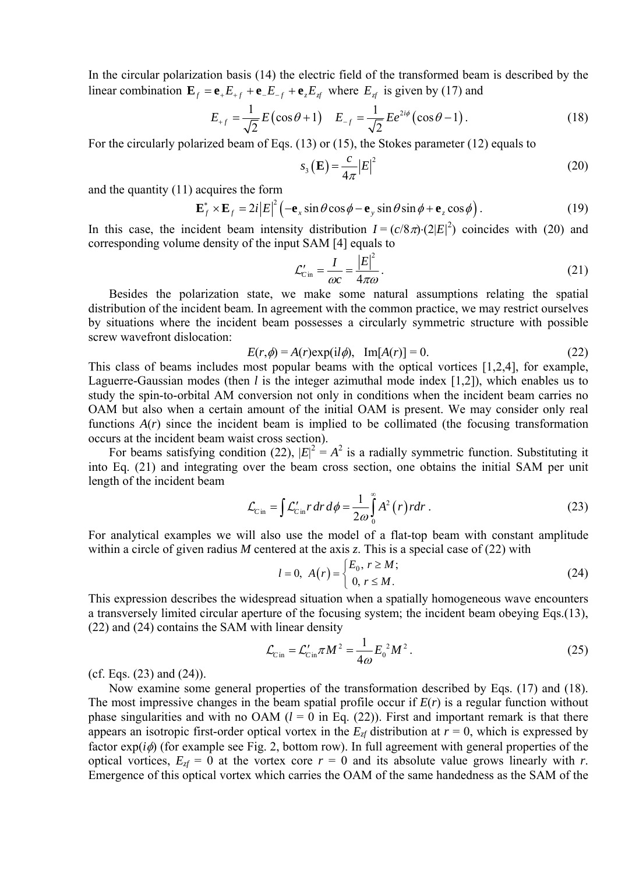In the circular polarization basis (14) the electric field of the transformed beam is described by the linear combination  $\mathbf{E}_f = \mathbf{e}_+ E_{+f} + \mathbf{e}_- E_{-f} + \mathbf{e}_z E_{zf}$  where  $E_{zf}$  is given by (17) and

$$
E_{+f} = \frac{1}{\sqrt{2}} E(\cos \theta + 1) \quad E_{-f} = \frac{1}{\sqrt{2}} E e^{2i\phi} (\cos \theta - 1).
$$
 (18)

For the circularly polarized beam of Eqs. (13) or (15), the Stokes parameter (12) equals to

$$
s_3\left(\mathbf{E}\right) = \frac{c}{4\pi} \left| E \right|^2 \tag{20}
$$

and the quantity (11) acquires the form

$$
\mathbf{E}_{f}^{*} \times \mathbf{E}_{f} = 2i|E|^{2} \left( -\mathbf{e}_{x} \sin \theta \cos \phi - \mathbf{e}_{y} \sin \theta \sin \phi + \mathbf{e}_{z} \cos \phi \right).
$$
 (19)

In this case, the incident beam intensity distribution  $I = (c/8\pi) \cdot (2|E|^2)$  coincides with (20) and corresponding volume density of the input SAM [4] equals to

$$
\mathcal{L}'_{C\text{in}} = \frac{I}{\omega c} = \frac{|E|^2}{4\pi\omega}.
$$
\n(21)

Besides the polarization state, we make some natural assumptions relating the spatial distribution of the incident beam. In agreement with the common practice, we may restrict ourselves by situations where the incident beam possesses a circularly symmetric structure with possible screw wavefront dislocation:

$$
E(r,\phi) = A(r) \exp(i l\phi), \quad \text{Im}[A(r)] = 0. \tag{22}
$$

This class of beams includes most popular beams with the optical vortices [1,2,4], for example, Laguerre-Gaussian modes (then *l* is the integer azimuthal mode index [1,2]), which enables us to study the spin-to-orbital AM conversion not only in conditions when the incident beam carries no OAM but also when a certain amount of the initial OAM is present. We may consider only real functions  $A(r)$  since the incident beam is implied to be collimated (the focusing transformation occurs at the incident beam waist cross section).

For beams satisfying condition (22),  $|E|^2 = A^2$  is a radially symmetric function. Substituting it into Eq. (21) and integrating over the beam cross section, one obtains the initial SAM per unit length of the incident beam

$$
\mathcal{L}_{\text{Cin}} = \int \mathcal{L}_{\text{Cin}}' r \, dr \, d\phi = \frac{1}{2\omega} \int_{0}^{\infty} A^2(r) \, r \, dr \,. \tag{23}
$$

For analytical examples we will also use the model of a flat-top beam with constant amplitude within a circle of given radius *M* centered at the axis *z*. This is a special case of (22) with

$$
l = 0, \ A(r) = \begin{cases} E_0, \ r \ge M; \\ 0, \ r \le M. \end{cases}
$$
 (24)

This expression describes the widespread situation when a spatially homogeneous wave encounters a transversely limited circular aperture of the focusing system; the incident beam obeying Eqs.(13), (22) and (24) contains the SAM with linear density

$$
\mathcal{L}_{\text{C in}} = \mathcal{L}_{\text{C in}}' \pi M^2 = \frac{1}{4\omega} E_0^2 M^2. \tag{25}
$$

(cf. Eqs. (23) and (24)).

Now examine some general properties of the transformation described by Eqs. (17) and (18). The most impressive changes in the beam spatial profile occur if  $E(r)$  is a regular function without phase singularities and with no OAM  $(l = 0$  in Eq. (22)). First and important remark is that there appears an isotropic first-order optical vortex in the  $E_{z}$  distribution at  $r = 0$ , which is expressed by factor  $exp(i\phi)$  (for example see Fig. 2, bottom row). In full agreement with general properties of the optical vortices,  $E_{z}f = 0$  at the vortex core  $r = 0$  and its absolute value grows linearly with *r*. Emergence of this optical vortex which carries the OAM of the same handedness as the SAM of the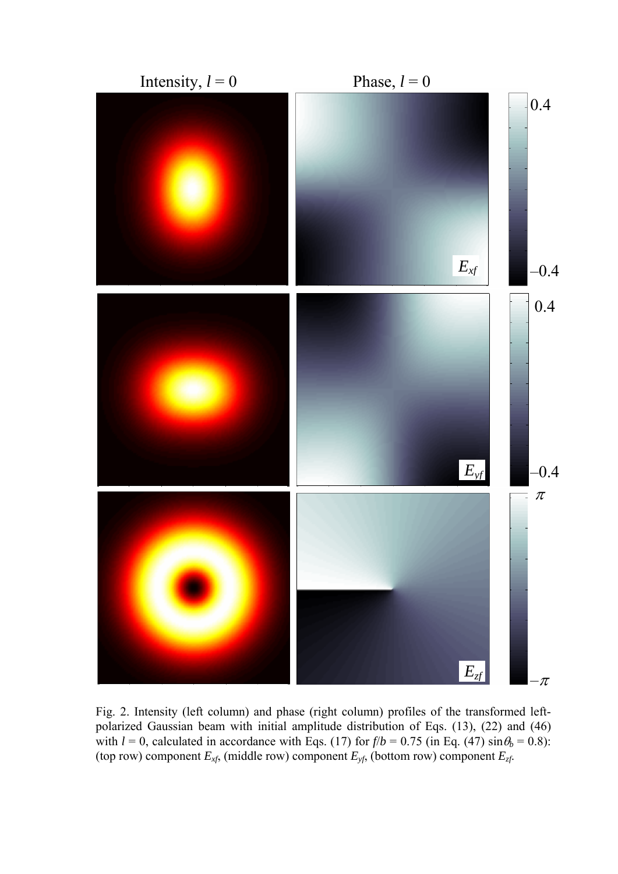

Fig. 2. Intensity (left column) and phase (right column) profiles of the transformed leftpolarized Gaussian beam with initial amplitude distribution of Eqs. (13), (22) and (46) with  $l = 0$ , calculated in accordance with Eqs. (17) for  $f/b = 0.75$  (in Eq. (47)  $\sin \theta_b = 0.8$ ): (top row) component *Exf*, (middle row) component *Eyf*, (bottom row) component *Ezf*.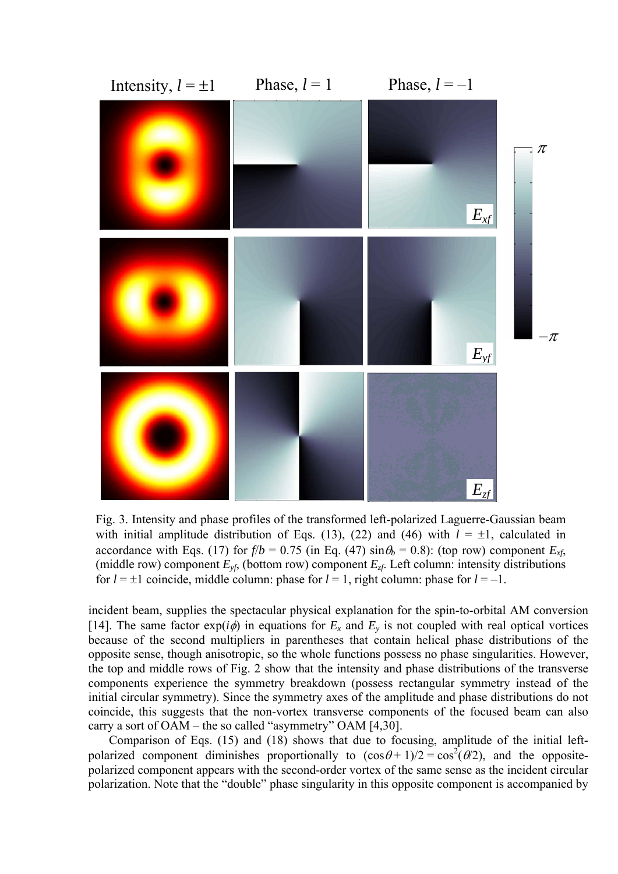

Fig. 3. Intensity and phase profiles of the transformed left-polarized Laguerre-Gaussian beam with initial amplitude distribution of Eqs. (13), (22) and (46) with  $l = \pm 1$ , calculated in accordance with Eqs. (17) for  $f/b = 0.75$  (in Eq. (47)  $\sin \theta_b = 0.8$ ): (top row) component  $E_{xf}$ , (middle row) component  $E_{\nu f}$ , (bottom row) component  $E_{\nu f}$ . Left column: intensity distributions for  $l = \pm 1$  coincide, middle column: phase for  $l = 1$ , right column: phase for  $l = -1$ .

incident beam, supplies the spectacular physical explanation for the spin-to-orbital AM conversion [14]. The same factor  $exp(i\phi)$  in equations for  $E_x$  and  $E_y$  is not coupled with real optical vortices because of the second multipliers in parentheses that contain helical phase distributions of the opposite sense, though anisotropic, so the whole functions possess no phase singularities. However, the top and middle rows of Fig. 2 show that the intensity and phase distributions of the transverse components experience the symmetry breakdown (possess rectangular symmetry instead of the initial circular symmetry). Since the symmetry axes of the amplitude and phase distributions do not coincide, this suggests that the non-vortex transverse components of the focused beam can also carry a sort of OAM – the so called "asymmetry" OAM [4,30].

Comparison of Eqs. (15) and (18) shows that due to focusing, amplitude of the initial leftpolarized component diminishes proportionally to  $(\cos \theta + 1)/2 = \cos^2(\theta/2)$ , and the oppositepolarized component appears with the second-order vortex of the same sense as the incident circular polarization. Note that the "double" phase singularity in this opposite component is accompanied by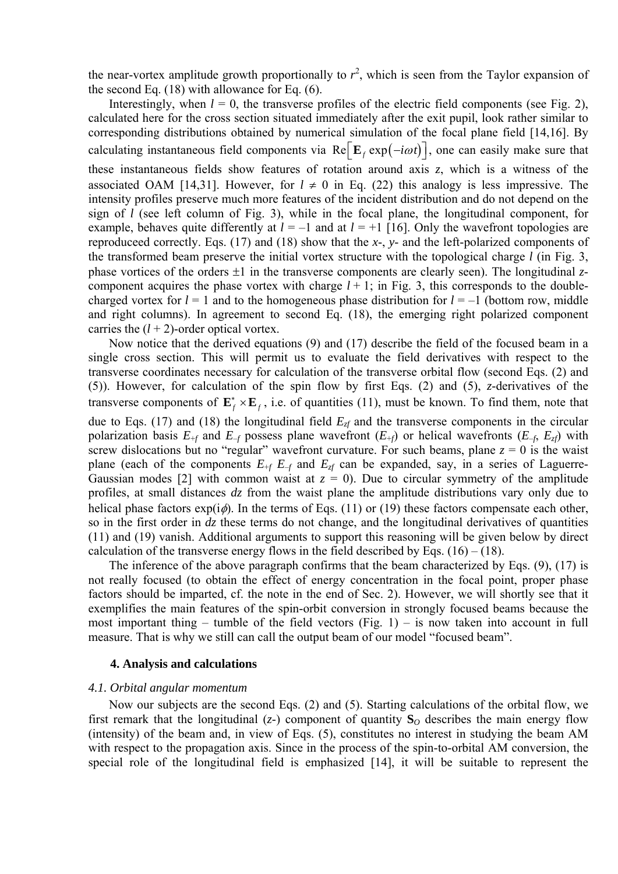the near-vortex amplitude growth proportionally to  $r^2$ , which is seen from the Taylor expansion of the second Eq. (18) with allowance for Eq. (6).

Interestingly, when  $l = 0$ , the transverse profiles of the electric field components (see Fig. 2), calculated here for the cross section situated immediately after the exit pupil, look rather similar to corresponding distributions obtained by numerical simulation of the focal plane field [14,16]. By calculating instantaneous field components via Re  $\left[\mathbf{E}_f \exp(-i\omega t)\right]$ , one can easily make sure that these instantaneous fields show features of rotation around axis *z*, which is a witness of the associated OAM [14,31]. However, for  $l \neq 0$  in Eq. (22) this analogy is less impressive. The intensity profiles preserve much more features of the incident distribution and do not depend on the sign of *l* (see left column of Fig. 3), while in the focal plane, the longitudinal component, for example, behaves quite differently at  $l = -1$  and at  $l = +1$  [16]. Only the wavefront topologies are reproduceed correctly. Eqs. (17) and (18) show that the *x*-, *y*- and the left-polarized components of the transformed beam preserve the initial vortex structure with the topological charge *l* (in Fig. 3, phase vortices of the orders ±1 in the transverse components are clearly seen). The longitudinal *z*component acquires the phase vortex with charge  $l + 1$ ; in Fig. 3, this corresponds to the doublecharged vortex for  $l = 1$  and to the homogeneous phase distribution for  $l = -1$  (bottom row, middle and right columns). In agreement to second Eq. (18), the emerging right polarized component carries the  $(l + 2)$ -order optical vortex.

Now notice that the derived equations (9) and (17) describe the field of the focused beam in a single cross section. This will permit us to evaluate the field derivatives with respect to the transverse coordinates necessary for calculation of the transverse orbital flow (second Eqs. (2) and (5)). However, for calculation of the spin flow by first Eqs. (2) and (5), *z*-derivatives of the transverse components of  $\mathbf{E}_f^* \times \mathbf{E}_f$ , i.e. of quantities (11), must be known. To find them, note that due to Eqs. (17) and (18) the longitudinal field  $E<sub>zf</sub>$  and the transverse components in the circular polarization basis  $E_{+f}$  and  $E_{-f}$  possess plane wavefront  $(E_{+f})$  or helical wavefronts  $(E_{-f}, E_{zf})$  with screw dislocations but no "regular" wavefront curvature. For such beams, plane  $z = 0$  is the waist plane (each of the components  $E_{+f} E_{-f}$  and  $E_{z}$  can be expanded, say, in a series of Laguerre-Gaussian modes [2] with common waist at  $z = 0$ ). Due to circular symmetry of the amplitude profiles, at small distances *dz* from the waist plane the amplitude distributions vary only due to helical phase factors  $exp(i\phi)$ . In the terms of Eqs. (11) or (19) these factors compensate each other, so in the first order in *dz* these terms do not change, and the longitudinal derivatives of quantities (11) and (19) vanish. Additional arguments to support this reasoning will be given below by direct calculation of the transverse energy flows in the field described by Eqs.  $(16) - (18)$ .

The inference of the above paragraph confirms that the beam characterized by Eqs. (9), (17) is not really focused (to obtain the effect of energy concentration in the focal point, proper phase factors should be imparted, cf. the note in the end of Sec. 2). However, we will shortly see that it exemplifies the main features of the spin-orbit conversion in strongly focused beams because the most important thing – tumble of the field vectors (Fig. 1) – is now taken into account in full measure. That is why we still can call the output beam of our model "focused beam".

## **4. Analysis and calculations**

### *4.1. Orbital angular momentum*

Now our subjects are the second Eqs. (2) and (5). Starting calculations of the orbital flow, we first remark that the longitudinal  $(z)$  component of quantity  $S<sub>O</sub>$  describes the main energy flow (intensity) of the beam and, in view of Eqs. (5), constitutes no interest in studying the beam AM with respect to the propagation axis. Since in the process of the spin-to-orbital AM conversion, the special role of the longitudinal field is emphasized [14], it will be suitable to represent the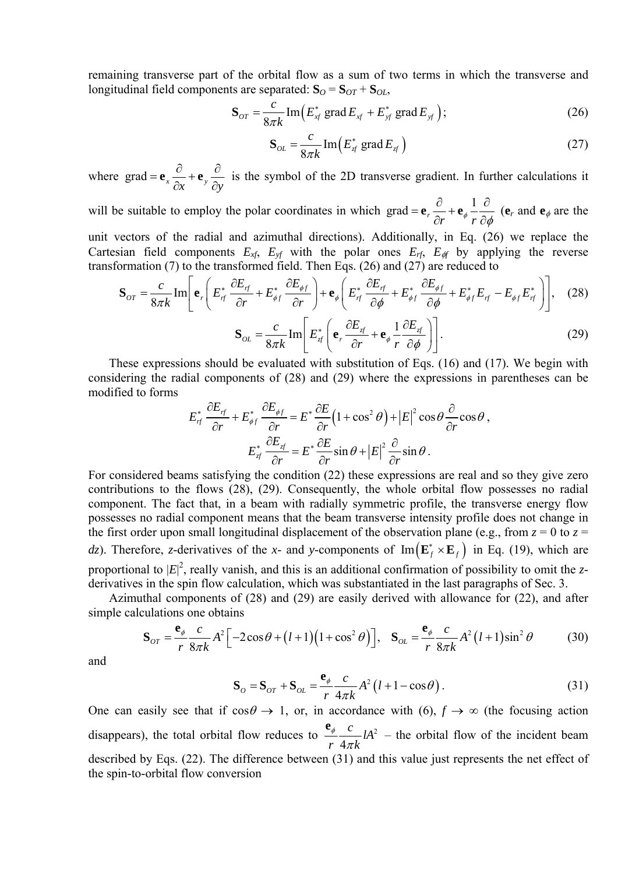remaining transverse part of the orbital flow as a sum of two terms in which the transverse and longitudinal field components are separated:  $S_O = S_{OT} + S_{OL}$ ,

$$
\mathbf{S}_{or} = \frac{c}{8\pi k} \operatorname{Im} \left( E_{xf}^* \operatorname{grad} E_{xf} + E_{yf}^* \operatorname{grad} E_{yf} \right); \tag{26}
$$

$$
\mathbf{S}_{OL} = \frac{c}{8\pi k} \operatorname{Im} \left( E_{\mathcal{J}}^* \operatorname{grad} E_{\mathcal{J}} \right) \tag{27}
$$

where  $\text{grad} = \mathbf{e}_x \frac{\partial}{\partial x} + \mathbf{e}_y \frac{\partial}{\partial y}$  $\partial x$   $\partial$  $\mathbf{e}_r = \frac{\partial}{\partial r} + \mathbf{e}_r$  is the symbol of the 2D transverse gradient. In further calculations it

will be suitable to employ the polar coordinates in which grad =  $\mathbf{e}_r \frac{\partial}{\partial r} + \mathbf{e}_{\phi} \frac{1}{r} \frac{\partial}{\partial \phi}$  $\mathbf{e}_r \frac{\partial}{\partial r} + \mathbf{e}_{\phi} \frac{\partial}{r} \frac{\partial}{\partial \phi}$  ( $\mathbf{e}_r$  and  $\mathbf{e}_{\phi}$  are the unit vectors of the radial and azimuthal directions). Additionally, in Eq. (26) we replace the

Cartesian field components  $E_{xf}$ ,  $E_{yf}$  with the polar ones  $E_{rf}$ ,  $E_{gf}$  by applying the reverse transformation (7) to the transformed field. Then Eqs. (26) and (27) are reduced to

$$
\mathbf{S}_{OT} = \frac{c}{8\pi k} \operatorname{Im} \left[ \mathbf{e}_r \left( E_{rf}^* \frac{\partial E_{rf}}{\partial r} + E_{\phi f}^* \frac{\partial E_{\phi f}}{\partial r} \right) + \mathbf{e}_{\phi} \left( E_{rf}^* \frac{\partial E_{rf}}{\partial \phi} + E_{\phi f}^* \frac{\partial E_{\phi f}}{\partial \phi} + E_{\phi f}^* E_{rf} - E_{\phi f} E_{rf}^* \right) \right], \quad (28)
$$

$$
\mathbf{S}_{OL} = \frac{c}{8\pi k} \operatorname{Im} \left[ E^*_{\mathcal{J}} \left( \mathbf{e}_r \frac{\partial E_{\mathcal{J}}}{\partial r} + \mathbf{e}_{\phi} \frac{1}{r} \frac{\partial E_{\mathcal{J}}}{\partial \phi} \right) \right]. \tag{29}
$$

These expressions should be evaluated with substitution of Eqs. (16) and (17). We begin with considering the radial components of (28) and (29) where the expressions in parentheses can be modified to forms

$$
E_{rf}^{*} \frac{\partial E_{rf}}{\partial r} + E_{\phi f}^{*} \frac{\partial E_{\phi f}}{\partial r} = E^{*} \frac{\partial E}{\partial r} \left( 1 + \cos^{2} \theta \right) + \left| E \right|^{2} \cos \theta \frac{\partial}{\partial r} \cos \theta,
$$

$$
E_{rf}^{*} \frac{\partial E_{rf}}{\partial r} = E^{*} \frac{\partial E}{\partial r} \sin \theta + \left| E \right|^{2} \frac{\partial}{\partial r} \sin \theta.
$$

For considered beams satisfying the condition (22) these expressions are real and so they give zero contributions to the flows (28), (29). Consequently, the whole orbital flow possesses no radial component. The fact that, in a beam with radially symmetric profile, the transverse energy flow possesses no radial component means that the beam transverse intensity profile does not change in the first order upon small longitudinal displacement of the observation plane (e.g., from  $z = 0$  to  $z =$ *dz*). Therefore, *z*-derivatives of the *x*- and *y*-components of Im( $\mathbf{E}_f^* \times \mathbf{E}_f$ ) in Eq. (19), which are proportional to  $|E|^2$ , really vanish, and this is an additional confirmation of possibility to omit the *z*derivatives in the spin flow calculation, which was substantiated in the last paragraphs of Sec. 3.

Azimuthal components of (28) and (29) are easily derived with allowance for (22), and after simple calculations one obtains

$$
\mathbf{S}_{or} = \frac{\mathbf{e}_{\phi} \ c}{r \ 8\pi k} A^2 \left[ -2\cos\theta + (l+1)\left(1+\cos^2\theta\right) \right], \quad \mathbf{S}_{or} = \frac{\mathbf{e}_{\phi} \ c}{r \ 8\pi k} A^2 \left(l+1\right)\sin^2\theta \tag{30}
$$

and

$$
\mathbf{S}_o = \mathbf{S}_{or} + \mathbf{S}_{oL} = \frac{\mathbf{e}_{\phi}}{r} \frac{c}{4\pi k} A^2 (l + 1 - \cos \theta). \tag{31}
$$

One can easily see that if  $\cos\theta \to 1$ , or, in accordance with (6),  $f \to \infty$  (the focusing action disappears), the total orbital flow reduces to  $\frac{Q_{\phi}}{A}$   $\frac{C}{A^2}$ 4  $\frac{c}{d}$ *lA*  $r \, 4\pi k$ **e**φ  $\frac{C}{\pi k} l A^2$  – the orbital flow of the incident beam described by Eqs. (22). The difference between (31) and this value just represents the net effect of the spin-to-orbital flow conversion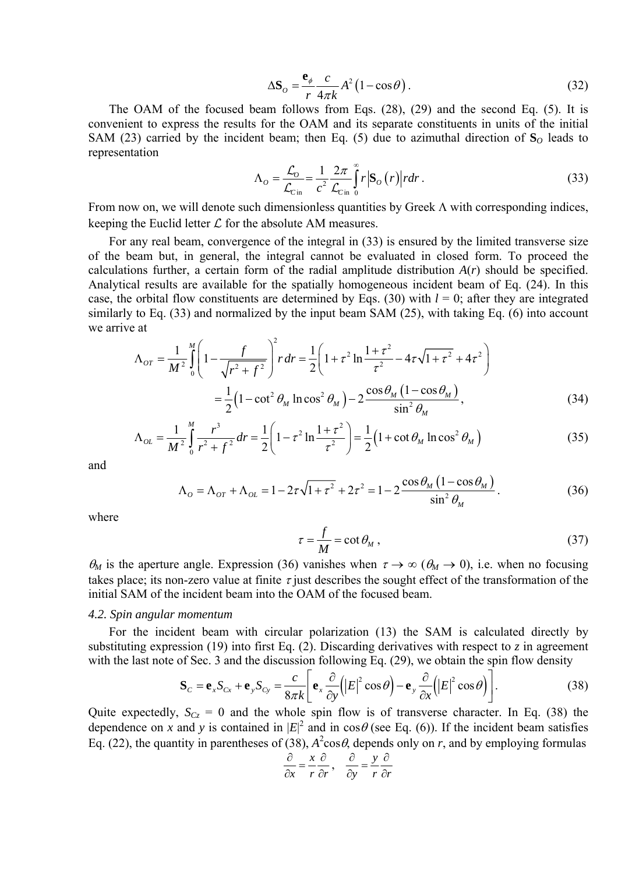$$
\Delta \mathbf{S}_o = \frac{\mathbf{e}_\phi}{r} \frac{c}{4\pi k} A^2 (1 - \cos \theta). \tag{32}
$$

The OAM of the focused beam follows from Eqs. (28), (29) and the second Eq. (5). It is convenient to express the results for the OAM and its separate constituents in units of the initial SAM (23) carried by the incident beam; then Eq. (5) due to azimuthal direction of  $S<sub>O</sub>$  leads to representation

$$
\Lambda_o = \frac{\mathcal{L}_o}{\mathcal{L}_{\text{cin}}} = \frac{1}{c^2} \frac{2\pi}{\mathcal{L}_{\text{cin}}} \int_0^\infty r |\mathbf{S}_o(r)| r dr.
$$
\n(33)

From now on, we will denote such dimensionless quantities by Greek  $\Lambda$  with corresponding indices, keeping the Euclid letter  $\mathcal L$  for the absolute AM measures.

For any real beam, convergence of the integral in (33) is ensured by the limited transverse size of the beam but, in general, the integral cannot be evaluated in closed form. To proceed the calculations further, a certain form of the radial amplitude distribution *A*(*r*) should be specified. Analytical results are available for the spatially homogeneous incident beam of Eq. (24). In this case, the orbital flow constituents are determined by Eqs. (30) with  $l = 0$ ; after they are integrated similarly to Eq. (33) and normalized by the input beam SAM (25), with taking Eq. (6) into account we arrive at

$$
\Lambda_{OT} = \frac{1}{M^2} \int_0^M \left( 1 - \frac{f}{\sqrt{r^2 + f^2}} \right)^2 r \, dr = \frac{1}{2} \left( 1 + \tau^2 \ln \frac{1 + \tau^2}{\tau^2} - 4\tau \sqrt{1 + \tau^2} + 4\tau^2 \right)
$$

$$
= \frac{1}{2} \left( 1 - \cot^2 \theta_M \ln \cos^2 \theta_M \right) - 2 \frac{\cos \theta_M \left( 1 - \cos \theta_M \right)}{\sin^2 \theta_M},\tag{34}
$$

$$
\Lambda_{OL} = \frac{1}{M^2} \int_0^M \frac{r^3}{r^2 + f^2} dr = \frac{1}{2} \left( 1 - \tau^2 \ln \frac{1 + \tau^2}{\tau^2} \right) = \frac{1}{2} \left( 1 + \cot \theta_M \ln \cos^2 \theta_M \right)
$$
(35)

and

$$
\Lambda_o = \Lambda_{or} + \Lambda_{oL} = 1 - 2\tau\sqrt{1 + \tau^2} + 2\tau^2 = 1 - 2\frac{\cos\theta_M (1 - \cos\theta_M)}{\sin^2\theta_M}.
$$
(36)

where

$$
\tau = \frac{f}{M} = \cot \theta_M , \qquad (37)
$$

 $\theta_M$  is the aperture angle. Expression (36) vanishes when  $\tau \to \infty$  ( $\theta_M \to 0$ ), i.e. when no focusing takes place; its non-zero value at finite  $\tau$  just describes the sought effect of the transformation of the initial SAM of the incident beam into the OAM of the focused beam.

#### *4.2. Spin angular momentum*

For the incident beam with circular polarization (13) the SAM is calculated directly by substituting expression (19) into first Eq. (2). Discarding derivatives with respect to  $\zeta$  in agreement with the last note of Sec. 3 and the discussion following Eq. (29), we obtain the spin flow density

$$
\mathbf{S}_C = \mathbf{e}_x S_{Cx} + \mathbf{e}_y S_{Cy} = \frac{c}{8\pi k} \left[ \mathbf{e}_x \frac{\partial}{\partial y} \left( |E|^2 \cos \theta \right) - \mathbf{e}_y \frac{\partial}{\partial x} \left( |E|^2 \cos \theta \right) \right].
$$
 (38)

Quite expectedly,  $S_{Cz} = 0$  and the whole spin flow is of transverse character. In Eq. (38) the dependence on *x* and *y* is contained in  $|E|^2$  and in cos $\theta$  (see Eq. (6)). If the incident beam satisfies Eq. (22), the quantity in parentheses of (38),  $A^2 \cos \theta$ , depends only on *r*, and by employing formulas  $\frac{\partial}{\partial x} = \frac{x}{x}$ 

$$
\frac{\partial}{\partial x} = \frac{x}{r} \frac{\partial}{\partial r}, \quad \frac{\partial}{\partial y} = \frac{y}{r} \frac{\partial}{\partial r}
$$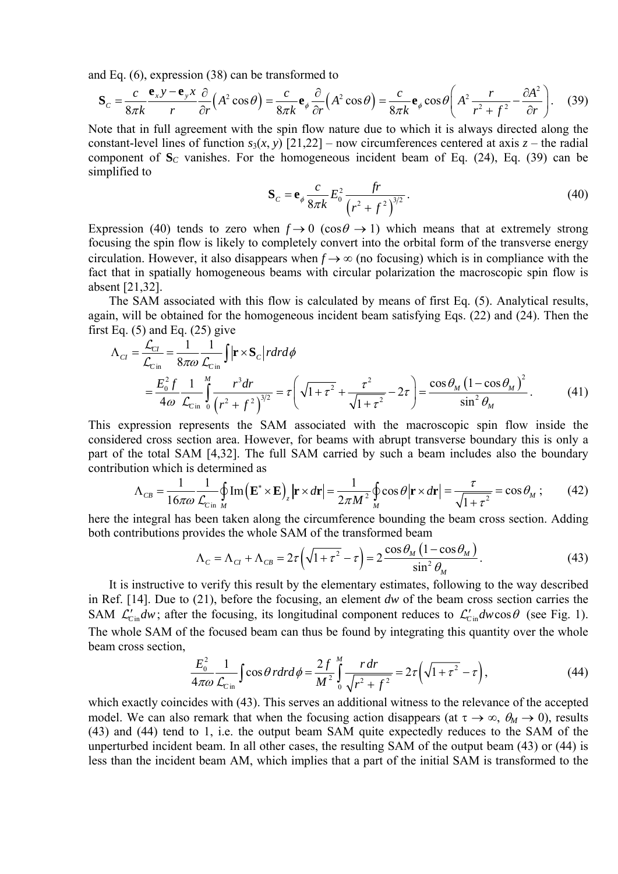and Eq. (6), expression (38) can be transformed to

$$
\mathbf{S}_c = \frac{c}{8\pi k} \frac{\mathbf{e}_x y - \mathbf{e}_y x}{r} \frac{\partial}{\partial r} \left( A^2 \cos \theta \right) = \frac{c}{8\pi k} \mathbf{e}_\phi \frac{\partial}{\partial r} \left( A^2 \cos \theta \right) = \frac{c}{8\pi k} \mathbf{e}_\phi \cos \theta \left( A^2 \frac{r}{r^2 + f^2} - \frac{\partial A^2}{\partial r} \right). \tag{39}
$$

Note that in full agreement with the spin flow nature due to which it is always directed along the constant-level lines of function  $s_3(x, y)$  [21,22] – now circumferences centered at axis  $z$  – the radial component of  $S_C$  vanishes. For the homogeneous incident beam of Eq. (24), Eq. (39) can be simplified to

$$
\mathbf{S}_c = \mathbf{e}_{\phi} \frac{c}{8\pi k} E_0^2 \frac{fr}{(r^2 + f^2)^{3/2}}.
$$
 (40)

Expression (40) tends to zero when  $f \rightarrow 0$  (cos $\theta \rightarrow 1$ ) which means that at extremely strong focusing the spin flow is likely to completely convert into the orbital form of the transverse energy circulation. However, it also disappears when  $f \rightarrow \infty$  (no focusing) which is in compliance with the fact that in spatially homogeneous beams with circular polarization the macroscopic spin flow is absent [21,32].

The SAM associated with this flow is calculated by means of first Eq. (5). Analytical results, again, will be obtained for the homogeneous incident beam satisfying Eqs. (22) and (24). Then the first Eq.  $(5)$  and Eq.  $(25)$  give

$$
\Lambda_{CI} = \frac{\mathcal{L}_{CI}}{\mathcal{L}_{C\text{in}}} = \frac{1}{8\pi\omega} \frac{1}{\mathcal{L}_{C\text{in}}} \int |\mathbf{r} \times \mathbf{S}_C| r dr d\phi
$$
  
=  $\frac{E_0^2 f}{4\omega} \frac{1}{\mathcal{L}_{C\text{in}}} \int_0^M \frac{r^3 dr}{(r^2 + f^2)^{3/2}} = \tau \left( \sqrt{1 + \tau^2} + \frac{\tau^2}{\sqrt{1 + \tau^2}} - 2\tau \right) = \frac{\cos \theta_M (1 - \cos \theta_M)^2}{\sin^2 \theta_M}.$  (41)

This expression represents the SAM associated with the macroscopic spin flow inside the considered cross section area. However, for beams with abrupt transverse boundary this is only a part of the total SAM [4,32]. The full SAM carried by such a beam includes also the boundary contribution which is determined as

$$
\Lambda_{CB} = \frac{1}{16\pi\omega} \frac{1}{\mathcal{L}_{Cin}} \oint_{M} \text{Im}(\mathbf{E}^* \times \mathbf{E})_z |\mathbf{r} \times d\mathbf{r}| = \frac{1}{2\pi M^2} \oint_{M} \cos \theta |\mathbf{r} \times d\mathbf{r}| = \frac{\tau}{\sqrt{1 + \tau^2}} = \cos \theta_M ; \quad (42)
$$

here the integral has been taken along the circumference bounding the beam cross section. Adding both contributions provides the whole SAM of the transformed beam

$$
\Lambda_C = \Lambda_{CI} + \Lambda_{CB} = 2\tau \left( \sqrt{1 + \tau^2} - \tau \right) = 2 \frac{\cos \theta_M \left( 1 - \cos \theta_M \right)}{\sin^2 \theta_M}.
$$
(43)

It is instructive to verify this result by the elementary estimates, following to the way described in Ref. [14]. Due to (21), before the focusing, an element *dw* of the beam cross section carries the SAM  $\mathcal{L}'_{\text{Cin}}dw$ ; after the focusing, its longitudinal component reduces to  $\mathcal{L}'_{\text{Cin}}dw\cos\theta$  (see Fig. 1). The whole SAM of the focused beam can thus be found by integrating this quantity over the whole beam cross section,

$$
\frac{E_0^2}{4\pi\omega} \frac{1}{\mathcal{L}_{\text{C}}_{\text{in}}} \int \cos\theta \, r dr d\phi = \frac{2f}{M^2} \int_0^M \frac{r dr}{\sqrt{r^2 + f^2}} = 2\tau \left( \sqrt{1 + \tau^2} - \tau \right),\tag{44}
$$

which exactly coincides with (43). This serves an additional witness to the relevance of the accepted model. We can also remark that when the focusing action disappears (at  $\tau \to \infty$ ,  $\theta_M \to 0$ ), results (43) and (44) tend to 1, i.e. the output beam SAM quite expectedly reduces to the SAM of the unperturbed incident beam. In all other cases, the resulting SAM of the output beam (43) or (44) is less than the incident beam AM, which implies that a part of the initial SAM is transformed to the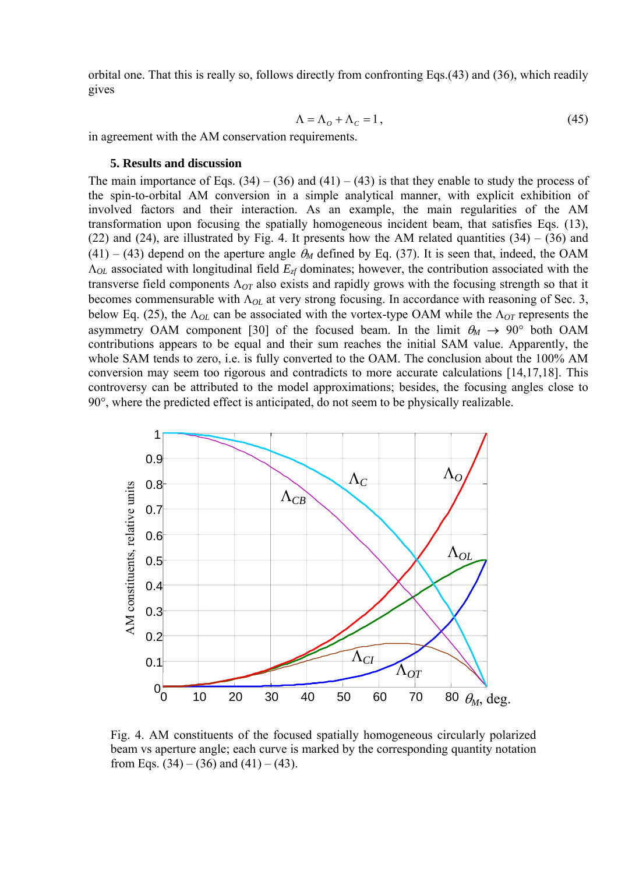orbital one. That this is really so, follows directly from confronting Eqs.(43) and (36), which readily gives

$$
\Lambda = \Lambda_o + \Lambda_c = 1, \tag{45}
$$

in agreement with the AM conservation requirements.

### **5. Results and discussion**

The main importance of Eqs.  $(34) - (36)$  and  $(41) - (43)$  is that they enable to study the process of the spin-to-orbital AM conversion in a simple analytical manner, with explicit exhibition of involved factors and their interaction. As an example, the main regularities of the AM transformation upon focusing the spatially homogeneous incident beam, that satisfies Eqs. (13), (22) and (24), are illustrated by Fig. 4. It presents how the AM related quantities  $(34) - (36)$  and  $(41) - (43)$  depend on the aperture angle  $\theta_M$  defined by Eq. (37). It is seen that, indeed, the OAM Λ*OL* associated with longitudinal field *Ezf* dominates; however, the contribution associated with the transverse field components Λ*OT* also exists and rapidly grows with the focusing strength so that it becomes commensurable with Λ*OL* at very strong focusing. In accordance with reasoning of Sec. 3, below Eq. (25), the Λ*OL* can be associated with the vortex-type OAM while the Λ*OT* represents the asymmetry OAM component [30] of the focused beam. In the limit  $\theta_M \rightarrow 90^\circ$  both OAM contributions appears to be equal and their sum reaches the initial SAM value. Apparently, the whole SAM tends to zero, i.e. is fully converted to the OAM. The conclusion about the 100% AM conversion may seem too rigorous and contradicts to more accurate calculations [14,17,18]. This controversy can be attributed to the model approximations; besides, the focusing angles close to 90°, where the predicted effect is anticipated, do not seem to be physically realizable.



Fig. 4. AM constituents of the focused spatially homogeneous circularly polarized beam vs aperture angle; each curve is marked by the corresponding quantity notation from Eqs.  $(34) - (36)$  and  $(41) - (43)$ .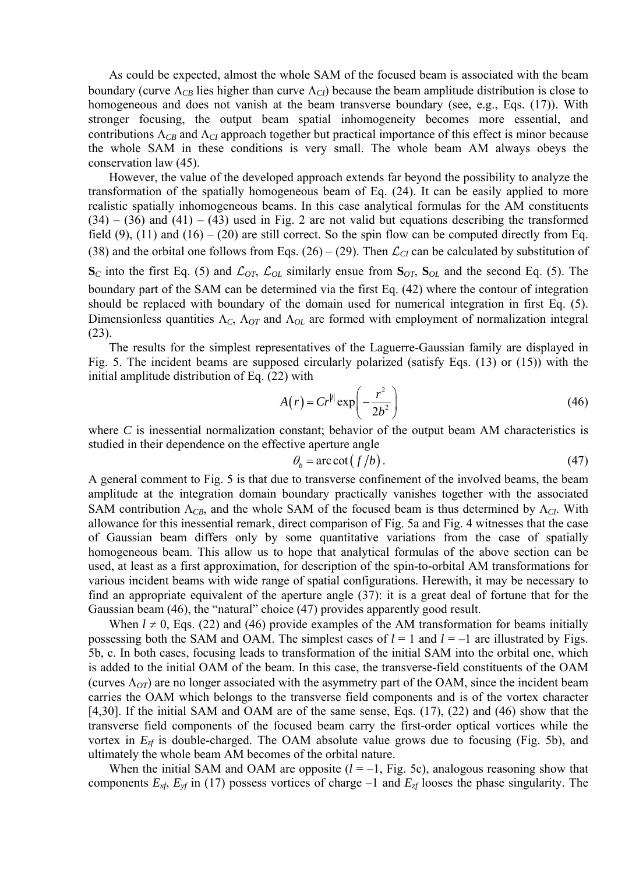As could be expected, almost the whole SAM of the focused beam is associated with the beam boundary (curve  $\Lambda_{CB}$  lies higher than curve  $\Lambda_{CD}$ ) because the beam amplitude distribution is close to homogeneous and does not vanish at the beam transverse boundary (see, e.g., Eqs. (17)). With stronger focusing, the output beam spatial inhomogeneity becomes more essential, and contributions  $\Lambda_{CB}$  and  $\Lambda_{CI}$  approach together but practical importance of this effect is minor because the whole SAM in these conditions is very small. The whole beam AM always obeys the conservation law (45).

However, the value of the developed approach extends far beyond the possibility to analyze the transformation of the spatially homogeneous beam of Eq. (24). It can be easily applied to more realistic spatially inhomogeneous beams. In this case analytical formulas for the AM constituents  $(34) - (36)$  and  $(41) - (43)$  used in Fig. 2 are not valid but equations describing the transformed field (9), (11) and (16) – (20) are still correct. So the spin flow can be computed directly from Eq. (38) and the orbital one follows from Eqs. (26) – (29). Then  $\mathcal{L}_{CI}$  can be calculated by substitution of  $\mathbf{S}_C$  into the first Eq. (5) and  $\mathcal{L}_{OT}$ ,  $\mathcal{L}_{OL}$  similarly ensue from  $\mathbf{S}_{OT}$ ,  $\mathbf{S}_{OL}$  and the second Eq. (5). The boundary part of the SAM can be determined via the first Eq. (42) where the contour of integration should be replaced with boundary of the domain used for numerical integration in first Eq. (5). Dimensionless quantities Λ*C*, Λ*OT* and Λ*OL* are formed with employment of normalization integral (23).

The results for the simplest representatives of the Laguerre-Gaussian family are displayed in Fig. 5. The incident beams are supposed circularly polarized (satisfy Eqs. (13) or (15)) with the initial amplitude distribution of Eq. (22) with

$$
A(r) = Cr^{|l|} \exp\left(-\frac{r^2}{2b^2}\right) \tag{46}
$$

where *C* is inessential normalization constant; behavior of the output beam AM characteristics is studied in their dependence on the effective aperture angle

$$
\theta_b = \arccot\left(\frac{f}{b}\right). \tag{47}
$$

A general comment to Fig. 5 is that due to transverse confinement of the involved beams, the beam amplitude at the integration domain boundary practically vanishes together with the associated SAM contribution  $\Lambda_{CB}$ , and the whole SAM of the focused beam is thus determined by  $\Lambda_{CD}$ . With allowance for this inessential remark, direct comparison of Fig. 5a and Fig. 4 witnesses that the case of Gaussian beam differs only by some quantitative variations from the case of spatially homogeneous beam. This allow us to hope that analytical formulas of the above section can be used, at least as a first approximation, for description of the spin-to-orbital AM transformations for various incident beams with wide range of spatial configurations. Herewith, it may be necessary to find an appropriate equivalent of the aperture angle (37): it is a great deal of fortune that for the Gaussian beam (46), the "natural" choice (47) provides apparently good result.

When  $l \neq 0$ , Eqs. (22) and (46) provide examples of the AM transformation for beams initially possessing both the SAM and OAM. The simplest cases of  $l = 1$  and  $l = -1$  are illustrated by Figs. 5b, c. In both cases, focusing leads to transformation of the initial SAM into the orbital one, which is added to the initial OAM of the beam. In this case, the transverse-field constituents of the OAM (curves  $\Lambda_{OT}$ ) are no longer associated with the asymmetry part of the OAM, since the incident beam carries the OAM which belongs to the transverse field components and is of the vortex character [4,30]. If the initial SAM and OAM are of the same sense, Eqs. (17), (22) and (46) show that the transverse field components of the focused beam carry the first-order optical vortices while the vortex in  $E_{z}$  is double-charged. The OAM absolute value grows due to focusing (Fig. 5b), and ultimately the whole beam AM becomes of the orbital nature.

When the initial SAM and OAM are opposite  $(l = -1, F$ ig. 5c), analogous reasoning show that components  $E_{xf}$ ,  $E_{yf}$  in (17) possess vortices of charge –1 and  $E_{xf}$  looses the phase singularity. The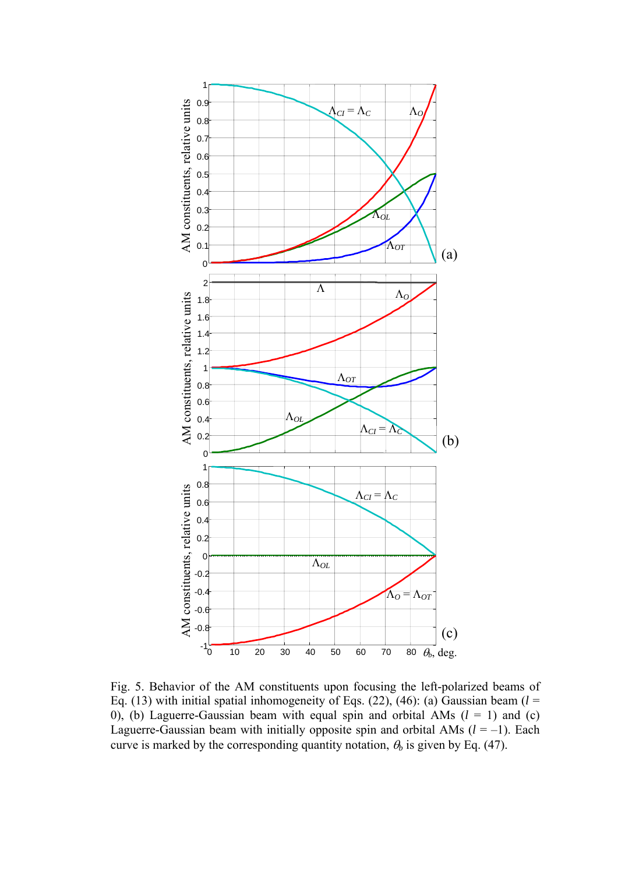

Fig. 5. Behavior of the AM constituents upon focusing the left-polarized beams of Eq. (13) with initial spatial inhomogeneity of Eqs. (22), (46): (a) Gaussian beam  $(l =$ 0), (b) Laguerre-Gaussian beam with equal spin and orbital AMs  $(l = 1)$  and  $(c)$ Laguerre-Gaussian beam with initially opposite spin and orbital AMs  $(l = -1)$ . Each curve is marked by the corresponding quantity notation,  $\theta_b$  is given by Eq. (47).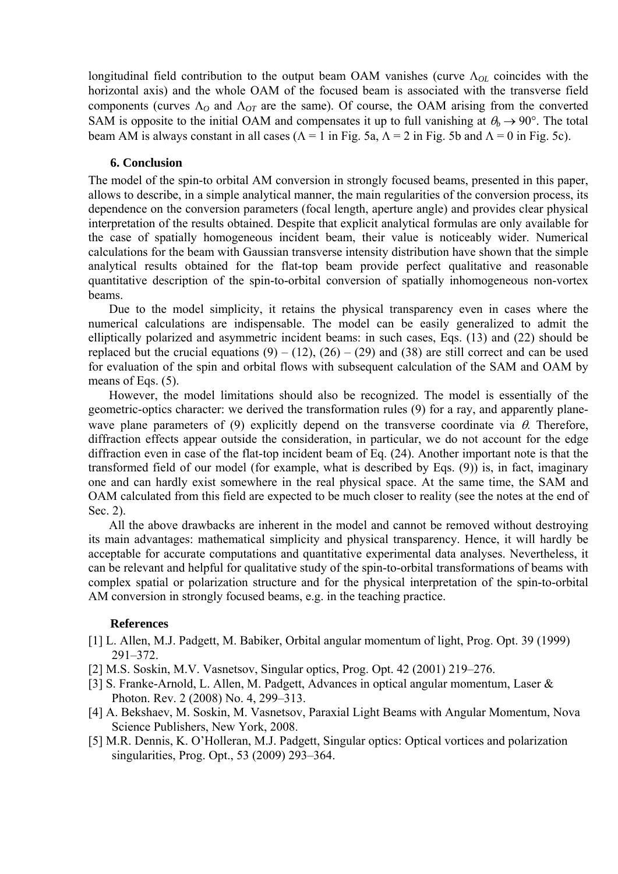longitudinal field contribution to the output beam OAM vanishes (curve Λ*OL* coincides with the horizontal axis) and the whole OAM of the focused beam is associated with the transverse field components (curves Λ*O* and Λ*OT* are the same). Of course, the OAM arising from the converted SAM is opposite to the initial OAM and compensates it up to full vanishing at  $\theta_b \rightarrow 90^\circ$ . The total beam AM is always constant in all cases ( $\Lambda = 1$  in Fig. 5a,  $\Lambda = 2$  in Fig. 5b and  $\Lambda = 0$  in Fig. 5c).

## **6. Conclusion**

The model of the spin-to orbital AM conversion in strongly focused beams, presented in this paper, allows to describe, in a simple analytical manner, the main regularities of the conversion process, its dependence on the conversion parameters (focal length, aperture angle) and provides clear physical interpretation of the results obtained. Despite that explicit analytical formulas are only available for the case of spatially homogeneous incident beam, their value is noticeably wider. Numerical calculations for the beam with Gaussian transverse intensity distribution have shown that the simple analytical results obtained for the flat-top beam provide perfect qualitative and reasonable quantitative description of the spin-to-orbital conversion of spatially inhomogeneous non-vortex beams.

Due to the model simplicity, it retains the physical transparency even in cases where the numerical calculations are indispensable. The model can be easily generalized to admit the elliptically polarized and asymmetric incident beams: in such cases, Eqs. (13) and (22) should be replaced but the crucial equations  $(9) - (12)$ ,  $(26) - (29)$  and  $(38)$  are still correct and can be used for evaluation of the spin and orbital flows with subsequent calculation of the SAM and OAM by means of Eqs.  $(5)$ .

However, the model limitations should also be recognized. The model is essentially of the geometric-optics character: we derived the transformation rules (9) for a ray, and apparently planewave plane parameters of (9) explicitly depend on the transverse coordinate via  $\theta$ . Therefore, diffraction effects appear outside the consideration, in particular, we do not account for the edge diffraction even in case of the flat-top incident beam of Eq. (24). Another important note is that the transformed field of our model (for example, what is described by Eqs. (9)) is, in fact, imaginary one and can hardly exist somewhere in the real physical space. At the same time, the SAM and OAM calculated from this field are expected to be much closer to reality (see the notes at the end of Sec. 2).

All the above drawbacks are inherent in the model and cannot be removed without destroying its main advantages: mathematical simplicity and physical transparency. Hence, it will hardly be acceptable for accurate computations and quantitative experimental data analyses. Nevertheless, it can be relevant and helpful for qualitative study of the spin-to-orbital transformations of beams with complex spatial or polarization structure and for the physical interpretation of the spin-to-orbital AM conversion in strongly focused beams, e.g. in the teaching practice.

## **References**

- [1] L. Allen, M.J. Padgett, M. Babiker, Orbital angular momentum of light, Prog. Opt. 39 (1999) 291–372.
- [2] M.S. Soskin, M.V. Vasnetsov, Singular optics, Prog. Opt. 42 (2001) 219–276.
- [3] S. Franke-Arnold, L. Allen, M. Padgett, Advances in optical angular momentum, Laser & Photon. Rev. 2 (2008) No. 4, 299–313.
- [4] A. Bekshaev, M. Soskin, M. Vasnetsov, Paraxial Light Beams with Angular Momentum, Nova Science Publishers, New York, 2008.
- [5] M.R. Dennis, K. O'Holleran, M.J. Padgett, Singular optics: Optical vortices and polarization singularities, Prog. Opt., 53 (2009) 293–364.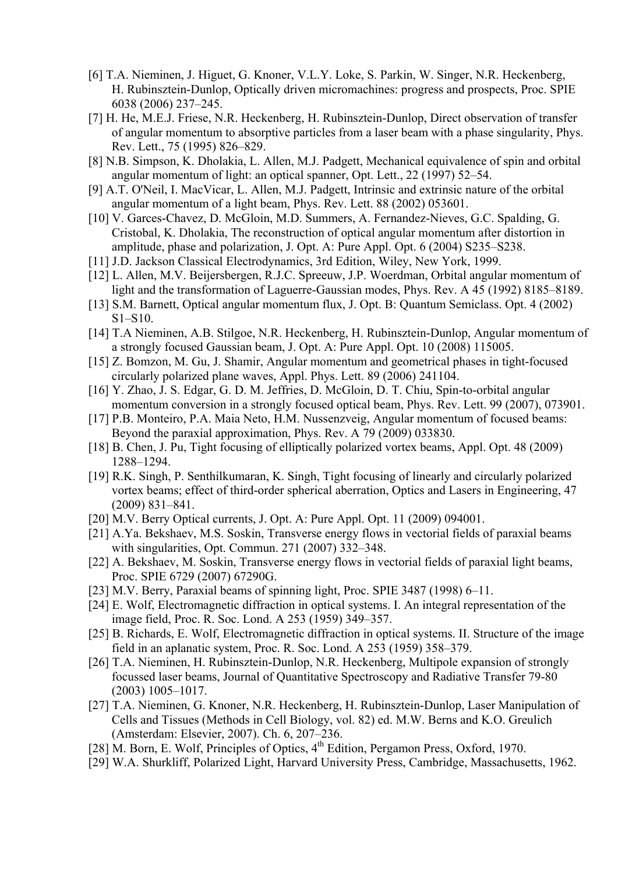- [6] T.A. Nieminen, J. Higuet, G. Knoner, V.L.Y. Loke, S. Parkin, W. Singer, N.R. Heckenberg, H. Rubinsztein-Dunlop, Optically driven micromachines: progress and prospects, Proc. SPIE 6038 (2006) 237–245.
- [7] H. He, M.E.J. Friese, N.R. Heckenberg, H. Rubinsztein-Dunlop, Direct observation of transfer of angular momentum to absorptive particles from a laser beam with a phase singularity, Phys. Rev. Lett., 75 (1995) 826–829.
- [8] N.B. Simpson, K. Dholakia, L. Allen, M.J. Padgett, Mechanical equivalence of spin and orbital angular momentum of light: an optical spanner, Opt. Lett., 22 (1997) 52–54.
- [9] A.T. O'Neil, I. MacVicar, L. Allen, M.J. Padgett, Intrinsic and extrinsic nature of the orbital angular momentum of a light beam, Phys. Rev. Lett. 88 (2002) 053601.
- [10] V. Garces-Chavez, D. McGloin, M.D. Summers, A. Fernandez-Nieves, G.C. Spalding, G. Cristobal, K. Dholakia, The reconstruction of optical angular momentum after distortion in amplitude, phase and polarization, J. Opt. A: Pure Appl. Opt. 6 (2004) S235–S238.
- [11] J.D. Jackson Classical Electrodynamics, 3rd Edition, Wiley, New York, 1999.
- [12] L. Allen, M.V. Beijersbergen, R.J.C. Spreeuw, J.P. Woerdman, Orbital angular momentum of light and the transformation of Laguerre-Gaussian modes, Phys. Rev. A 45 (1992) 8185–8189.
- [13] S.M. Barnett, Optical angular momentum flux, J. Opt. B: Quantum Semiclass. Opt. 4 (2002) S1–S10.
- [14] T.A Nieminen, A.B. Stilgoe, N.R. Heckenberg, H. Rubinsztein-Dunlop, Angular momentum of a strongly focused Gaussian beam, J. Opt. A: Pure Appl. Opt. 10 (2008) 115005.
- [15] Z. Bomzon, M. Gu, J. Shamir, Angular momentum and geometrical phases in tight-focused circularly polarized plane waves, Appl. Phys. Lett. 89 (2006) 241104.
- [16] [Y. Zhao](http://scitation.aip.org/vsearch/servlet/VerityServlet?KEY=ALL&possible1=Zhao%2C+Yiqiong&possible1zone=author&maxdisp=25&smode=strresults&aqs=true), [J. S. Edgar](http://scitation.aip.org/vsearch/servlet/VerityServlet?KEY=ALL&possible1=Edgar%2C+J.+Scott&possible1zone=author&maxdisp=25&smode=strresults&aqs=true), [G. D. M. Jeffries,](http://scitation.aip.org/vsearch/servlet/VerityServlet?KEY=ALL&possible1=Jeffries%2C+Gavin+D.+M.&possible1zone=author&maxdisp=25&smode=strresults&aqs=true) [D. McGloin,](http://scitation.aip.org/vsearch/servlet/VerityServlet?KEY=ALL&possible1=McGloin%2C+David&possible1zone=author&maxdisp=25&smode=strresults&aqs=true) [D. T. Chiu](http://scitation.aip.org/vsearch/servlet/VerityServlet?KEY=ALL&possible1=Chiu%2C+Daniel+T.&possible1zone=author&maxdisp=25&smode=strresults&aqs=true), Spin-to-orbital angular momentum conversion in a strongly focused optical beam, Phys. Rev. Lett. 99 (2007), 073901.
- [17] P.B. Monteiro, P.A. Maia Neto, H.M. Nussenzveig, Angular momentum of focused beams: Beyond the paraxial approximation, Phys. Rev. A 79 (2009) 033830.
- [18] B. Chen, J. Pu, Tight focusing of elliptically polarized vortex beams, Appl. Opt. 48 (2009) 1288–1294.
- [19] R.K. Singh, P. Senthilkumaran, K. Singh, Tight focusing of linearly and circularly polarized vortex beams; effect of third-order spherical aberration, Optics and Lasers in Engineering, 47 (2009) 831–841.
- [20] M.V. Berry Optical currents, J. Opt. A: Pure Appl. Opt. 11 (2009) 094001.
- [21] A.Ya. Bekshaev, M.S. Soskin, Transverse energy flows in vectorial fields of paraxial beams with singularities, Opt. Commun. 271 (2007) 332–348.
- [22] A. Bekshaev, M. Soskin, Transverse energy flows in vectorial fields of paraxial light beams, Proc. SPIE 6729 (2007) 67290G.
- [23] M.V. Berry, Paraxial beams of spinning light, Proc. SPIE 3487 (1998) 6–11.
- [24] E. Wolf, Electromagnetic diffraction in optical systems. I. An integral representation of the image field, Proc. R. Soc. Lond. A 253 (1959) 349–357.
- [25] B. Richards, E. Wolf, Electromagnetic diffraction in optical systems. II. Structure of the image field in an aplanatic system, Proc. R. Soc. Lond. A 253 (1959) 358–379.
- [26] T.A. Nieminen, H. Rubinsztein-Dunlop, N.R. Heckenberg, Multipole expansion of strongly focussed laser beams, Journal of Quantitative Spectroscopy and Radiative Transfer 79-80 (2003) 1005–1017.
- [27] T.A. Nieminen, G. Knoner, N.R. Heckenberg, H. Rubinsztein-Dunlop, Laser Manipulation of Cells and Tissues (Methods in Cell Biology, vol. 82) ed. M.W. Berns and K.O. Greulich (Amsterdam: Elsevier, 2007). Ch. 6, 207–236.
- [28] M. Born, E. Wolf, Principles of Optics, 4<sup>th</sup> Edition, Pergamon Press, Oxford, 1970.
- [29] W.A. Shurkliff, Polarized Light, Harvard University Press, Cambridge, Massachusetts, 1962.